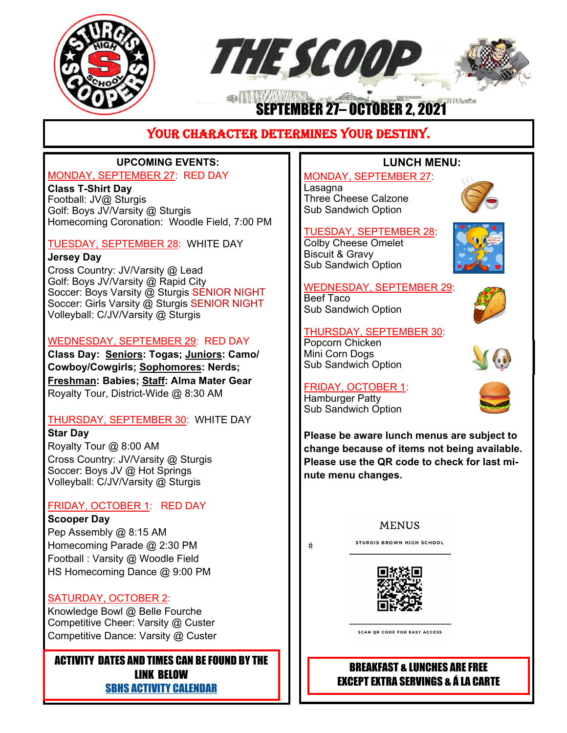



## SEPTEMBER 27– OCTOBER 2, 2021 253

# YOUR CHARACTER DETERMINES YOUR DESTINY.

## **UPCOMING EVENTS:**

## MONDAY, SEPTEMBER 27: RED DAY

**Class T-Shirt Day**  Football: JV@ Sturgis Golf: Boys JV/Varsity @ Sturgis Homecoming Coronation: Woodle Field, 7:00 PM

#### TUESDAY, SEPTEMBER 28: WHITE DAY

#### **Jersey Day**

Cross Country: JV/Varsity @ Lead Golf: Boys JV/Varsity @ Rapid City Soccer: Boys Varsity @ Sturgis SENIOR NIGHT Soccer: Girls Varsity @ Sturgis SENIOR NIGHT Volleyball: C/JV/Varsity @ Sturgis

#### WEDNESDAY, SEPTEMBER 29: RED DAY

**Class Day: Seniors: Togas; Juniors: Camo/ Cowboy/Cowgirls; Sophomores: Nerds; Freshman: Babies; Staff: Alma Mater Gear** Royalty Tour, District-Wide @ 8:30 AM

## THURSDAY, SEPTEMBER 30: WHITE DAY

#### **Star Day**

Royalty Tour @ 8:00 AM Cross Country: JV/Varsity @ Sturgis Soccer: Boys JV @ Hot Springs Volleyball: C/JV/Varsity @ Sturgis

## FRIDAY, OCTOBER 1: RED DAY

#### **Scooper Day**

Pep Assembly @ 8:15 AM Homecoming Parade @ 2:30 PM Football : Varsity @ Woodle Field HS Homecoming Dance @ 9:00 PM

## SATURDAY, OCTOBER 2:

Knowledge Bowl @ Belle Fourche Competitive Cheer: Varsity @ Custer Competitive Dance: Varsity @ Custer

ACTIVITY DATES AND TIMES CAN BE FOUND BY THE LINK BELOW SBHS ACTIVITY CALENDAR

## **LUNCH MENU:**

## MONDAY, SEPTEMBER 27:

Lasagna Three Cheese Calzone Sub Sandwich Option



#### TUESDAY, SEPTEMBER 28:

Colby Cheese Omelet Biscuit & Gravy Sub Sandwich Option

Sub Sandwich Option

WEDNESDAY, SEPTEMBER 29: Beef Taco



#### THURSDAY, SEPTEMBER 30:

Popcorn Chicken Mini Corn Dogs Sub Sandwich Option



#### FRIDAY, OCTOBER 1: Hamburger Patty Sub Sandwich Option

 $#$ 



**Please be aware lunch menus are subject to change because of items not being available. Please use the QR code to check for last minute menu changes.**

## **MENUS**

**STURGIS BROWN HIGH SCHOOL** 



**SCAN QR CODE FOR EASY ACCESS** 

## BREAKFAST & LUNCHES ARE FREE EXCEPT EXTRA SERVINGS & Á LA CARTE